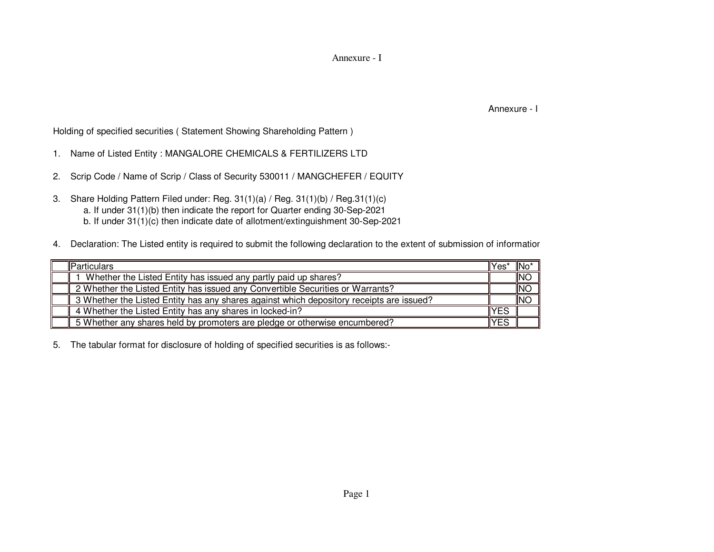Annexure - I

Annexure - I

Holding of specified securities ( Statement Showing Shareholding Pattern )

- 1. Name of Listed Entity : MANGALORE CHEMICALS & FERTILIZERS LTD
- 2. Scrip Code / Name of Scrip / Class of Security 530011 / MANGCHEFER / EQUITY
- 3. Share Holding Pattern Filed under: Reg. 31(1)(a) / Reg. 31(1)(b) / Reg.31(1)(c) a. If under 31(1)(b) then indicate the report for Quarter ending 30-Sep-2021b. If under 31(1)(c) then indicate date of allotment/extinguishment 30-Sep-2021
- 4. Declaration: The Listed entity is required to submit the following declaration to the extent of submission of information

| <b>Particulars</b>                                                                       | lYes <sup>:</sup> | ∥No′ |
|------------------------------------------------------------------------------------------|-------------------|------|
| Whether the Listed Entity has issued any partly paid up shares?                          |                   | INC  |
| 2 Whether the Listed Entity has issued any Convertible Securities or Warrants?           |                   | INC  |
| 3 Whether the Listed Entity has any shares against which depository receipts are issued? |                   | INC  |
| 4 Whether the Listed Entity has any shares in locked-in?                                 | <b>YES</b>        |      |
| 5 Whether any shares held by promoters are pledge or otherwise encumbered?               | <b>YES</b>        |      |

5. The tabular format for disclosure of holding of specified securities is as follows:-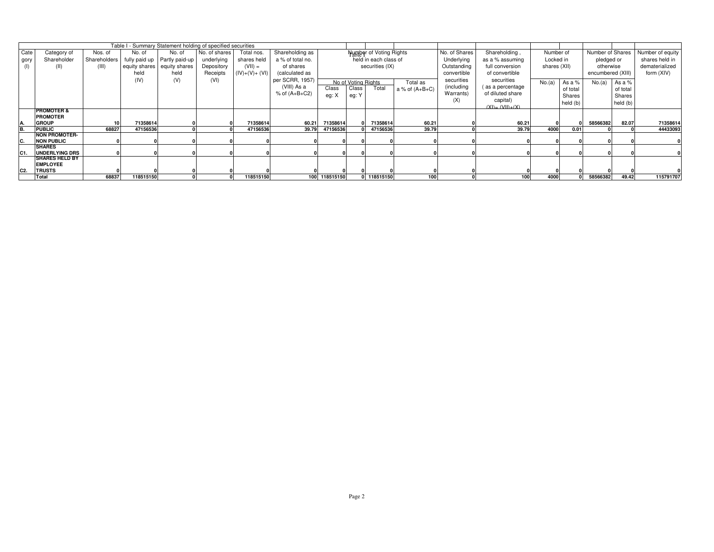|                |                                          |              |           | Table I - Summary Statement holding of specified securities |               |                |                   |               |                     |                                |                  |               |                      |              |          |                   |          |                  |
|----------------|------------------------------------------|--------------|-----------|-------------------------------------------------------------|---------------|----------------|-------------------|---------------|---------------------|--------------------------------|------------------|---------------|----------------------|--------------|----------|-------------------|----------|------------------|
| Cate           | Category of                              | Nos. of      | No. of    | No. of                                                      | No. of shares | Total nos.     | Shareholding as   |               |                     | <b>Number of Voting Rights</b> |                  | No. of Shares | Shareholding,        | Number of    |          | Number of Shares  |          | Number of equity |
| gory           | Shareholder                              | Shareholders |           | fully paid up Partly paid-up                                | underlying    | shares held    | a % of total no.  |               |                     | held in each class of          |                  | Underlying    | as a % assuming      | Locked in    |          | pledged or        |          | shares held in   |
|                |                                          | (III)        |           | equity shares equity shares                                 | Depository    | $(VII) =$      | of shares         |               |                     | securities (IX)                |                  | Outstanding   | full conversion      | shares (XII) |          | otherwise         |          | dematerialized   |
|                |                                          |              | held      | held                                                        | Receipts      | $(IV)+(V)+(V)$ | (calculated as    |               |                     |                                |                  | convertible   | of convertible       |              |          | encumbered (XIII) |          | form (XIV)       |
|                |                                          |              | (IV)      | (V)                                                         | (VI)          |                | per SCRR, 1957)   |               | No of Voting Rights |                                | Total as         | securities    | securities           | No.(a)       | As a $%$ | No.(a)            | As a %   |                  |
|                |                                          |              |           |                                                             |               |                | (VIII) As a       | Class         | Class               | Total                          | a % of $(A+B+C)$ | (including    | as a percentage      |              | of total |                   | of total |                  |
|                |                                          |              |           |                                                             |               |                | $%$ of $(A+B+C2)$ | eg: X         | eg: Y               |                                |                  | Warrants)     | of diluted share     |              | Shares   |                   | Shares   |                  |
|                |                                          |              |           |                                                             |               |                |                   |               |                     |                                |                  | (X)           | capital)             |              | held (b) |                   | held (b) |                  |
|                |                                          |              |           |                                                             |               |                |                   |               |                     |                                |                  |               | $(XI) = (VII) + (X)$ |              |          |                   |          |                  |
|                | <b>PROMOTER &amp;</b><br><b>PROMOTER</b> |              |           |                                                             |               |                |                   |               |                     |                                |                  |               |                      |              |          |                   |          |                  |
|                | <b>GROUP</b>                             |              | 71358614  |                                                             |               | 71358614       | 60.21             | 71358614      |                     | 71358614                       | 60.21            |               | 60.21                |              |          | 58566382          | 82.07    | 71358614         |
|                | <b>PUBLIC</b>                            | 68827        | 47156536  |                                                             |               | 47156536       | 39.79             | 47156536      |                     | 47156536                       | 39.79            |               | 39.79                | 4000         | 0.01     |                   |          | 44433093         |
|                | <b>NON PROMOTER-</b>                     |              |           |                                                             |               |                |                   |               |                     |                                |                  |               |                      |              |          |                   |          |                  |
| IC.            | <b>NON PUBLIC</b>                        |              |           |                                                             |               |                |                   |               |                     |                                |                  |               |                      |              |          |                   |          |                  |
|                | <b>SHARES</b>                            |              |           |                                                             |               |                |                   |               |                     |                                |                  |               |                      |              |          |                   |          |                  |
| C1.            | UNDERLYING DRS                           |              |           |                                                             |               |                |                   |               |                     |                                |                  |               |                      |              |          |                   |          |                  |
|                | <b>ISHARES HELD BY</b>                   |              |           |                                                             |               |                |                   |               |                     |                                |                  |               |                      |              |          |                   |          |                  |
|                | <b>EMPLOYEE</b>                          |              |           |                                                             |               |                |                   |               |                     |                                |                  |               |                      |              |          |                   |          |                  |
| C <sub>2</sub> | <b>TRUSTS</b>                            |              |           |                                                             |               |                |                   |               |                     |                                |                  |               |                      |              |          |                   |          |                  |
|                | Total                                    | 68837        | 118515150 |                                                             |               | 118515150      |                   | 100 118515150 |                     | 0 118515150                    | 100              |               | 100                  | 4000         |          | 58566382          | 49.42    | 115791707        |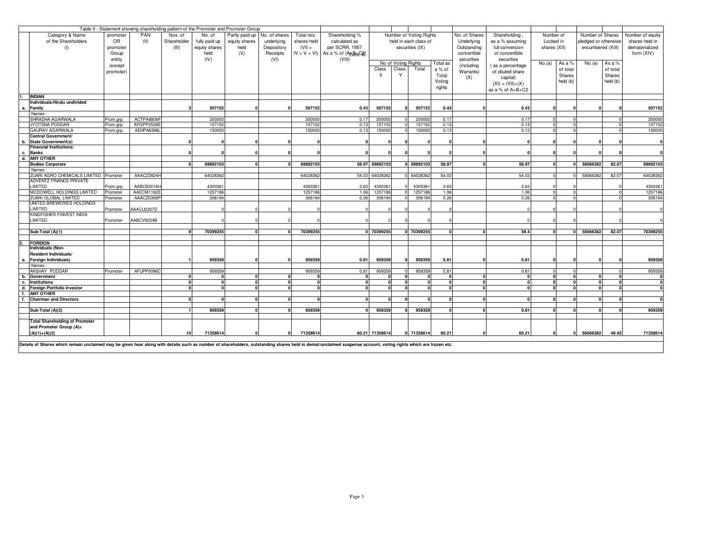| Table II - Statement showing shareholding pattern of the Promoter and Promoter Group |                                                                                                                                                                                                                |           |                          |             |                    |                              |            |             |                                         |                           |                     |                         |              |               |                    |              |          |                      |          |                  |
|--------------------------------------------------------------------------------------|----------------------------------------------------------------------------------------------------------------------------------------------------------------------------------------------------------------|-----------|--------------------------|-------------|--------------------|------------------------------|------------|-------------|-----------------------------------------|---------------------------|---------------------|-------------------------|--------------|---------------|--------------------|--------------|----------|----------------------|----------|------------------|
|                                                                                      | Category & Name                                                                                                                                                                                                | promoter  | PAN                      | Nos. of     | No. of             | Partly paid-up No. of shares |            | Total nos.  | Shareholding %                          |                           |                     | Number of Voting Rights |              | No. of Shares | Shareholding.      | Number of    |          | Number of Shares     |          | Number of equity |
|                                                                                      | of the Shareholders                                                                                                                                                                                            | OR        | (11)                     | Shareholder | fully paid up      | equity shares                | underlying | shares held | calculated as                           |                           |                     | held in each class of   |              | Underlying    | as a % assuming    | Locked in    |          | pledged or otherwise |          | shares held in   |
|                                                                                      | (1)                                                                                                                                                                                                            | promoter  |                          | (III)       | equity shares      | held                         | Depository | $(VII =$    | per SCRR, 1957                          |                           |                     | securities (IX)         |              | Outstanding   | full conversion    | shares (XII) |          | encumbered (XIII)    |          | dematerialized   |
|                                                                                      |                                                                                                                                                                                                                | Group     |                          |             | held               | (V)                          | Receipts   |             | $IV + V + VI$ ) As a % of $(AFcB0tcCf)$ |                           |                     |                         |              | convertible   | of convertible     |              |          |                      |          | form (XIV)       |
|                                                                                      |                                                                                                                                                                                                                |           |                          |             |                    |                              |            |             |                                         |                           |                     |                         |              | securities    | securities         |              |          |                      |          |                  |
|                                                                                      |                                                                                                                                                                                                                | entity    |                          |             | (IV)               |                              | (VI)       |             | (VIII)                                  |                           | No of Voting Rights |                         | Total as     |               |                    | No.(a)       | As a %   | No.(a)               | As a %   |                  |
|                                                                                      |                                                                                                                                                                                                                | (except   |                          |             |                    |                              |            |             |                                         | Class                     | Class               | Total                   | a% of        | (including    | (as a percentage)  |              | of total |                      | of total |                  |
|                                                                                      |                                                                                                                                                                                                                | promoter) |                          |             |                    |                              |            |             |                                         | $\boldsymbol{\mathsf{x}}$ | $\checkmark$        |                         | Total        | Warrants)     | of diluted share   |              | Shares   |                      | Shares   |                  |
|                                                                                      |                                                                                                                                                                                                                |           |                          |             |                    |                              |            |             |                                         |                           |                     |                         | Voting       | (X)           | capital)           |              | held (b) |                      | held (b) |                  |
|                                                                                      |                                                                                                                                                                                                                |           |                          |             |                    |                              |            |             |                                         |                           |                     |                         | rights       |               | $(XI) = (VII)+(X)$ |              |          |                      |          |                  |
|                                                                                      |                                                                                                                                                                                                                |           |                          |             |                    |                              |            |             |                                         |                           |                     |                         |              |               | as a % of A+B+C2   |              |          |                      |          |                  |
|                                                                                      | <b>INDIAN</b>                                                                                                                                                                                                  |           |                          |             |                    |                              |            |             |                                         |                           |                     |                         |              |               |                    |              |          |                      |          |                  |
|                                                                                      | Individuals/Hindu undivided                                                                                                                                                                                    |           |                          |             |                    |                              |            |             |                                         |                           |                     |                         |              |               |                    |              |          |                      |          |                  |
|                                                                                      | Family                                                                                                                                                                                                         |           |                          |             | 507152             |                              |            | 507152      | 0.43                                    | 507152                    |                     | 507152                  | 0.43         |               | 0.43               |              |          |                      |          | 507152           |
|                                                                                      | Names                                                                                                                                                                                                          |           |                          |             |                    |                              |            |             |                                         |                           |                     |                         |              |               |                    |              |          |                      |          |                  |
|                                                                                      | SHRADHA AGARWALA                                                                                                                                                                                               | Prom.grp. | ACTPA8806F               |             | 200000             |                              |            | 200000      | 0.17                                    | 20000                     |                     | 200000                  | 0.17         |               | 0.17               |              |          |                      |          | 200000           |
|                                                                                      | <b>JYOTSNA PODDAR</b>                                                                                                                                                                                          | Prom.grp. | AFGPP2539E               |             | 15715              |                              |            | 157152      | 0.13                                    | 15715                     |                     | 157152                  | 0.13         |               | 0.13               |              |          |                      |          | 15715            |
|                                                                                      | <b>GAURAV AGARWALA</b>                                                                                                                                                                                         | Prom.grp. | AEHPA6396L               |             | 150000             |                              |            | 150000      | 0.13                                    | 150000                    |                     | 150000                  | 0.13         |               | 0.13               |              |          |                      |          | 150000           |
|                                                                                      | Central Government/                                                                                                                                                                                            |           |                          |             |                    |                              |            |             |                                         |                           |                     |                         |              |               |                    |              |          |                      |          |                  |
| b.                                                                                   | State Government(s)                                                                                                                                                                                            |           |                          |             |                    |                              |            |             |                                         |                           |                     |                         |              |               |                    |              |          |                      |          |                  |
|                                                                                      | <b>Financial Institutions/</b>                                                                                                                                                                                 |           |                          |             |                    |                              |            |             |                                         |                           |                     |                         |              |               |                    |              |          |                      |          |                  |
| c.                                                                                   | <b>Banks</b>                                                                                                                                                                                                   |           |                          |             |                    |                              |            |             |                                         |                           |                     |                         |              |               |                    |              |          |                      |          |                  |
| d.                                                                                   | <b>ANY OTHER</b>                                                                                                                                                                                               |           |                          |             |                    |                              |            |             |                                         |                           |                     |                         |              |               |                    |              |          |                      |          |                  |
|                                                                                      | <b>Bodies Corporate</b>                                                                                                                                                                                        |           |                          |             | 69892103           |                              |            | 69892103    |                                         | 58.97 69892103            |                     | 0 69892103              | 58.97        |               | 58.97              |              |          | 58566382             | 82.07    | 69892103         |
|                                                                                      | Names:                                                                                                                                                                                                         |           |                          |             |                    |                              |            |             |                                         |                           |                     |                         |              |               |                    |              |          |                      |          |                  |
|                                                                                      | ZUARI AGRO CHEMICALS LIMITED Promoter                                                                                                                                                                          |           | AAACZ3924H               |             | 64028362           |                              |            | 64028362    | 54.03                                   | 64028362                  |                     | 64028362                | 54.03        |               | 54.03              |              |          | 58566382             | 82.07    | 6402836          |
|                                                                                      | ADVENTZ FINANCE PRIVATE                                                                                                                                                                                        |           |                          |             |                    |                              |            |             |                                         |                           |                     |                         |              |               |                    |              |          |                      |          |                  |
|                                                                                      | LIMITED                                                                                                                                                                                                        | Prom.grp. | AABCB3016H<br>AAECM1162E |             | 4300361<br>1257186 |                              |            | 4300361     | 3.63<br>1.06                            | 4300361                   |                     | 430036<br>1257186       | 3.63<br>1.06 |               | 3.63<br>1.06       |              |          |                      |          | 430036<br>125718 |
|                                                                                      | MCDOWELL HOLDINGS LIMITED                                                                                                                                                                                      | Promoter  |                          |             |                    |                              |            | 1257186     |                                         | 125718                    |                     |                         |              |               |                    |              |          |                      |          |                  |
|                                                                                      | ZUARI GLOBAL LIMITED<br>UNITED BREWERIES HOLDINGS                                                                                                                                                              | Promoter  | AAACZ0306P               |             | 306194             |                              |            | 30619       | 0.26                                    | 306194                    |                     | 306194                  | 0.26         |               | 0.26               |              |          |                      |          | 306194           |
|                                                                                      | LIMITED                                                                                                                                                                                                        | Promoter  | AAACU2307D               |             |                    |                              |            |             |                                         |                           |                     |                         |              |               |                    |              |          |                      |          |                  |
|                                                                                      | KINGFISHER FINVEST INDIA                                                                                                                                                                                       |           |                          |             |                    |                              |            |             |                                         |                           |                     |                         |              |               |                    |              |          |                      |          |                  |
|                                                                                      | LIMITED                                                                                                                                                                                                        | Promoter  | AABCV9224B               |             |                    |                              |            |             |                                         |                           |                     |                         |              |               |                    |              |          |                      |          |                  |
|                                                                                      |                                                                                                                                                                                                                |           |                          |             |                    |                              |            |             |                                         |                           |                     |                         |              |               |                    |              |          |                      |          |                  |
|                                                                                      | Sub-Total (A)(1)                                                                                                                                                                                               |           |                          |             | 70399255           |                              |            | 70399255    |                                         | 0 70399255                |                     | 0 70399255              |              |               | 59.4               |              |          | 58566382             | 82.07    | 70399255         |
|                                                                                      |                                                                                                                                                                                                                |           |                          |             |                    |                              |            |             |                                         |                           |                     |                         |              |               |                    |              |          |                      |          |                  |
|                                                                                      | <b>FOREIGN</b>                                                                                                                                                                                                 |           |                          |             |                    |                              |            |             |                                         |                           |                     |                         |              |               |                    |              |          |                      |          |                  |
|                                                                                      | Individuals (Non-                                                                                                                                                                                              |           |                          |             |                    |                              |            |             |                                         |                           |                     |                         |              |               |                    |              |          |                      |          |                  |
|                                                                                      | Resident Individuals/                                                                                                                                                                                          |           |                          |             |                    |                              |            |             |                                         |                           |                     |                         |              |               |                    |              |          |                      |          |                  |
| а.                                                                                   | Foreign Individuals)                                                                                                                                                                                           |           |                          |             | 959359             |                              |            | 959359      | 0.81                                    | 959359                    |                     | 959359                  | 0.81         |               | 0.81               |              |          |                      |          | 959359           |
|                                                                                      | Names:                                                                                                                                                                                                         |           |                          |             |                    |                              |            |             |                                         |                           |                     |                         |              |               |                    |              |          |                      |          |                  |
|                                                                                      | AKSHAY PODDAR                                                                                                                                                                                                  | Promoter  | AFUPP00960               |             | 959359             |                              |            | 959359      | 0.81                                    | 959359                    |                     | 959359                  | 0.81         |               | 0.81               |              |          |                      |          | 959359           |
| b.                                                                                   | Government                                                                                                                                                                                                     |           |                          |             |                    | n                            |            |             |                                         |                           |                     |                         |              |               | $\mathbf{0}$       |              | n        |                      |          |                  |
| c.                                                                                   | <b>Institutions</b>                                                                                                                                                                                            |           |                          |             |                    |                              |            |             |                                         |                           |                     |                         |              |               |                    |              |          |                      |          |                  |
| d.                                                                                   | <b>Foreign Portfolio Investor</b>                                                                                                                                                                              |           |                          |             |                    |                              |            |             |                                         |                           |                     |                         |              |               | $\Omega$           |              | n        |                      |          |                  |
| $\mathbf{f}$                                                                         | <b>ANY OTHER</b>                                                                                                                                                                                               |           |                          |             |                    |                              |            |             |                                         |                           |                     |                         |              |               |                    |              |          |                      |          |                  |
| f.                                                                                   | <b>Chairman and Directors</b>                                                                                                                                                                                  |           |                          |             |                    |                              |            |             |                                         |                           |                     |                         |              |               |                    |              |          |                      |          |                  |
|                                                                                      |                                                                                                                                                                                                                |           |                          |             |                    |                              |            |             |                                         |                           |                     |                         |              |               |                    |              |          |                      |          |                  |
|                                                                                      | Sub-Total (A)(2)                                                                                                                                                                                               |           |                          |             | 959359             |                              |            | 959359      |                                         | 959359                    |                     | 959359                  |              |               | 0.81               |              |          |                      |          | 959359           |
|                                                                                      |                                                                                                                                                                                                                |           |                          |             |                    |                              |            |             |                                         |                           |                     |                         |              |               |                    |              |          |                      |          |                  |
|                                                                                      | <b>Total Shareholding of Promoter</b><br>and Promoter Group (A)=                                                                                                                                               |           |                          |             |                    |                              |            |             |                                         |                           |                     |                         |              |               |                    |              |          |                      |          |                  |
|                                                                                      | $(A)(1)+(A)(2)$                                                                                                                                                                                                |           |                          | 10          | 71358614           |                              |            | 71358614    |                                         | 60.21 71358614            |                     | 0 71358614              | 60.21        |               | 60.21              |              |          | 58566382             | 49.42    | 71358614         |
|                                                                                      |                                                                                                                                                                                                                |           |                          |             |                    |                              |            |             |                                         |                           |                     |                         |              |               |                    |              |          |                      |          |                  |
|                                                                                      | Details of Shares which remain unclaimed may be given hear along with details such as number of shareholders, outstanding shares held in demat/unclaimed suspense account, voting rights which are frozen etc. |           |                          |             |                    |                              |            |             |                                         |                           |                     |                         |              |               |                    |              |          |                      |          |                  |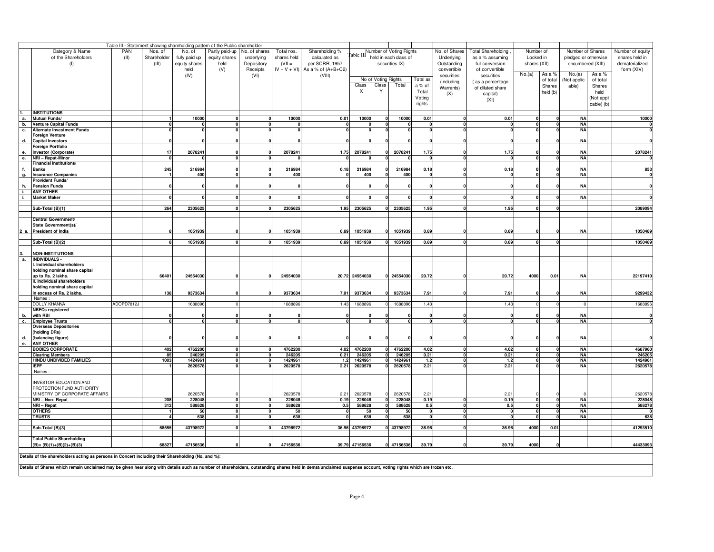|    |                                                                                                                                                                                                                |            |                        |               | Table III - Statement showing shareholding pattern of the Public shareholder |               |               |                      |                |                     |                                                                      |          |               |                           |              |          |                      |                   |                         |
|----|----------------------------------------------------------------------------------------------------------------------------------------------------------------------------------------------------------------|------------|------------------------|---------------|------------------------------------------------------------------------------|---------------|---------------|----------------------|----------------|---------------------|----------------------------------------------------------------------|----------|---------------|---------------------------|--------------|----------|----------------------|-------------------|-------------------------|
|    | Category & Name                                                                                                                                                                                                | PAN        | Nos. of                | No. of        | Partly paid-up                                                               | No. of shares | Total nos.    | Shareholding %       |                |                     | Table III Number of Voting Rights<br>Table III held in each class of |          | No. of Shares | <b>Total Shareholding</b> | Number of    |          | Number of Shares     |                   | Number of equity        |
|    | of the Shareholders                                                                                                                                                                                            | (II)       | Shareholder            | fully paid up | equity shares                                                                | underlying    | shares held   | calculated as        |                |                     |                                                                      |          | Underlying    | as a % assuming           | Locked in    |          | pledged or otherwise |                   | shares held in          |
|    | (1)                                                                                                                                                                                                            |            | (III)                  | equity shares | held                                                                         | Depository    | $(VII =$      | per SCRR, 1957       |                |                     | securities IX)                                                       |          | Outstanding   | full conversion           | shares (XII) |          |                      | encumbered (XIII) | dematerialized          |
|    |                                                                                                                                                                                                                |            |                        | held          | (V)                                                                          | Receipts      | $IV + V + VI$ | As a % of $(A+B+C2)$ |                |                     |                                                                      |          | convertible   | of convertible            |              |          |                      |                   | form (XIV)              |
|    |                                                                                                                                                                                                                |            |                        | (IV)          |                                                                              | (VI)          |               | (VIII)               |                |                     |                                                                      |          | securities    | securities                | No.(a)       | As a %   | No.(a)               | As a %            |                         |
|    |                                                                                                                                                                                                                |            |                        |               |                                                                              |               |               |                      |                | No of Voting Rights |                                                                      | Total as | (including    | as a percentage           |              | of total | Not applic           | of total          |                         |
|    |                                                                                                                                                                                                                |            |                        |               |                                                                              |               |               |                      | Class          | Class               | Total                                                                | a % of   | Warrants)     | of diluted share          |              | Shares   | able)                | Shares            |                         |
|    |                                                                                                                                                                                                                |            |                        |               |                                                                              |               |               |                      | X              | Y                   |                                                                      | Total    | (X)           | capital)                  |              | held (b) |                      | held              |                         |
|    |                                                                                                                                                                                                                |            |                        |               |                                                                              |               |               |                      |                |                     |                                                                      | Voting   |               | (XI)                      |              |          |                      | (Not appli        |                         |
|    |                                                                                                                                                                                                                |            |                        |               |                                                                              |               |               |                      |                |                     |                                                                      | rights   |               |                           |              |          |                      | cable) (b)        |                         |
|    | <b>INSTITUTIONS</b>                                                                                                                                                                                            |            |                        |               |                                                                              |               |               |                      |                |                     |                                                                      |          |               |                           |              |          |                      |                   |                         |
| а. | Mutual Funds/                                                                                                                                                                                                  |            |                        | 10000         |                                                                              |               | 10000         | 0.01                 | 10000          |                     | 10000                                                                | 0.01     | $\mathbf{0}$  | 0.01                      | $\mathbf{0}$ |          | <b>NA</b>            |                   | 10000                   |
| b. | <b>Venture Capital Funds</b>                                                                                                                                                                                   |            |                        |               |                                                                              |               |               |                      |                |                     |                                                                      |          |               |                           |              |          | <b>NA</b>            |                   | 0                       |
| с. | <b>Alternate Investment Funds</b>                                                                                                                                                                              |            |                        |               |                                                                              |               |               |                      |                |                     |                                                                      |          |               |                           |              |          | <b>NA</b>            |                   | $\overline{\mathbf{0}}$ |
|    | Foreign Venture                                                                                                                                                                                                |            |                        |               |                                                                              |               |               |                      |                |                     |                                                                      |          |               |                           |              |          |                      |                   |                         |
| d. | <b>Capital Investors</b>                                                                                                                                                                                       |            |                        |               |                                                                              |               |               |                      |                |                     |                                                                      |          |               |                           |              |          | NA                   |                   | $\mathbf 0$             |
|    | Foreign Portfolio                                                                                                                                                                                              |            |                        |               |                                                                              |               |               |                      |                |                     |                                                                      |          |               |                           |              |          |                      |                   |                         |
| е. | <b>Investor (Corporate)</b>                                                                                                                                                                                    |            | 17                     | 2078241       |                                                                              |               | 207824        | 1.75                 | 2078241        |                     | 2078241                                                              | 1.75     |               | 1.75                      |              |          | NA                   |                   | 2078241                 |
| е. | <b>NRI - Repat-Minor</b>                                                                                                                                                                                       |            |                        |               |                                                                              |               |               | $\mathbf{a}$         |                |                     |                                                                      | $\Omega$ |               |                           | $\Omega$     |          | <b>NA</b>            |                   | $\overline{\mathbf{0}}$ |
|    | Financial Institutions/                                                                                                                                                                                        |            |                        |               |                                                                              |               |               |                      |                |                     |                                                                      |          |               |                           |              |          |                      |                   |                         |
|    | <b>Banks</b>                                                                                                                                                                                                   |            | 245                    | 216984        |                                                                              |               | 216984        | 0.18                 | 216984         |                     | 216984                                                               | 0.18     |               | 0.18                      |              |          | N/                   |                   | 853                     |
| g. | <b>Insurance Companies</b>                                                                                                                                                                                     |            |                        | 400           |                                                                              |               | 400           | $\overline{0}$       | 400            |                     | 400                                                                  |          | $\Omega$      |                           |              |          | <b>NA</b>            |                   | $\overline{\mathbf{0}}$ |
|    | <b>Provident Funds/</b>                                                                                                                                                                                        |            |                        |               |                                                                              |               |               |                      |                |                     |                                                                      |          |               |                           |              |          |                      |                   |                         |
| h. | <b>Pension Funds</b>                                                                                                                                                                                           |            |                        |               |                                                                              |               |               |                      |                |                     |                                                                      |          |               |                           |              |          | N/                   |                   | $\mathbf{0}$            |
| L. | <b>ANY OTHER</b><br><b>Market Maker</b>                                                                                                                                                                        |            |                        |               |                                                                              |               |               |                      |                |                     |                                                                      |          |               |                           |              |          | <b>NA</b>            |                   | $\overline{\mathbf{0}}$ |
| L. |                                                                                                                                                                                                                |            |                        |               |                                                                              |               |               |                      |                |                     |                                                                      |          |               |                           |              |          |                      |                   |                         |
|    | Sub-Total (B)(1)                                                                                                                                                                                               |            | 264                    | 2305625       |                                                                              |               | 230562        |                      | 1.95 2305625   |                     | 2305625                                                              | 1.95     |               | 1.95                      |              |          |                      |                   | 2089094                 |
|    |                                                                                                                                                                                                                |            |                        |               |                                                                              |               |               |                      |                |                     |                                                                      |          |               |                           |              |          |                      |                   |                         |
|    | Central Government/                                                                                                                                                                                            |            |                        |               |                                                                              |               |               |                      |                |                     |                                                                      |          |               |                           |              |          |                      |                   |                         |
|    | State Government(s)/                                                                                                                                                                                           |            |                        |               |                                                                              |               |               |                      |                |                     |                                                                      |          |               |                           |              |          |                      |                   |                         |
|    | 2 a. President of India                                                                                                                                                                                        |            |                        | 1051939       |                                                                              |               | 1051939       | 0.89                 | 1051939        |                     | 1051939                                                              | 0.89     |               | 0.89                      |              |          | <b>NA</b>            |                   | 1050489                 |
|    |                                                                                                                                                                                                                |            |                        |               |                                                                              |               |               |                      |                |                     |                                                                      |          |               |                           |              |          |                      |                   |                         |
|    | Sub-Total (B)(2)                                                                                                                                                                                               |            |                        | 1051939       |                                                                              |               | 1051939       | 0.89                 | 1051939        | ΩI                  | 1051939                                                              | 0.89     |               | 0.89                      |              | $\Omega$ |                      |                   | 1050489                 |
|    |                                                                                                                                                                                                                |            |                        |               |                                                                              |               |               |                      |                |                     |                                                                      |          |               |                           |              |          |                      |                   |                         |
|    | <b>NON-INSTITUTIONS</b>                                                                                                                                                                                        |            |                        |               |                                                                              |               |               |                      |                |                     |                                                                      |          |               |                           |              |          |                      |                   |                         |
| а. | <b>INDIVIDUALS -</b>                                                                                                                                                                                           |            |                        |               |                                                                              |               |               |                      |                |                     |                                                                      |          |               |                           |              |          |                      |                   |                         |
|    | Individual shareholders                                                                                                                                                                                        |            |                        |               |                                                                              |               |               |                      |                |                     |                                                                      |          |               |                           |              |          |                      |                   |                         |
|    | holding nominal share capital<br>up to Rs. 2 lakhs.                                                                                                                                                            |            | 66401                  | 24554030      |                                                                              |               | 24554030      | 20.72                | 24554030       |                     | 0 24554030                                                           | 20.72    |               | 20.72                     | 4000         | 0.01     | <b>NA</b>            |                   | 22197410                |
|    | I. Individual shareholders                                                                                                                                                                                     |            |                        |               |                                                                              |               |               |                      |                |                     |                                                                      |          | $\mathbf{0}$  |                           |              |          |                      |                   |                         |
|    | holding nominal share capital                                                                                                                                                                                  |            |                        |               |                                                                              |               |               |                      |                |                     |                                                                      |          |               |                           |              |          |                      |                   |                         |
|    | n excess of Rs. 2 lakhs.                                                                                                                                                                                       |            | 138                    | 9373634       |                                                                              |               | 9373634       | 7.91                 | 9373634        |                     | 9373634                                                              | 7.91     |               | 7.91                      |              |          | <b>NA</b>            |                   | 9299432                 |
|    | Names :                                                                                                                                                                                                        |            |                        |               |                                                                              |               |               |                      |                |                     |                                                                      |          |               |                           |              |          |                      |                   |                         |
|    | <b>DOLLY KHANNA</b>                                                                                                                                                                                            | ADOPD7812J |                        | 168889        |                                                                              |               | 168889        | 1.43                 | 168889         |                     | 168889                                                               | 1.43     |               | 1.43                      |              |          |                      |                   | 1688896                 |
|    | <b>NBFCs registered</b>                                                                                                                                                                                        |            |                        |               |                                                                              |               |               |                      |                |                     |                                                                      |          |               |                           |              |          |                      |                   |                         |
| b. | with RBI                                                                                                                                                                                                       |            |                        |               |                                                                              |               |               |                      |                |                     |                                                                      |          |               |                           |              |          | N/                   |                   | 0                       |
| с. | <b>Employee Trusts</b>                                                                                                                                                                                         |            |                        |               |                                                                              |               | $\mathbf{0}$  | $\Omega$             |                |                     |                                                                      | $\Omega$ | $\mathbf{0}$  | $\Omega$                  |              |          | <b>NA</b>            |                   | $\overline{\mathbf{0}}$ |
|    | Overseas Depositories                                                                                                                                                                                          |            |                        |               |                                                                              |               |               |                      |                |                     |                                                                      |          |               |                           |              |          |                      |                   |                         |
|    | (holding DRs)                                                                                                                                                                                                  |            |                        |               |                                                                              |               |               |                      |                |                     |                                                                      |          |               |                           |              |          |                      |                   |                         |
| d. | (balancing figure)                                                                                                                                                                                             |            |                        |               |                                                                              |               |               | $\mathbf{r}$         |                |                     |                                                                      |          |               |                           |              |          | <b>NA</b>            |                   | $\mathbf 0$             |
| e. | <b>ANY OTHER</b>                                                                                                                                                                                               |            | 402                    | 4762200       |                                                                              |               | 4762200       | 4.02                 | 4762200        |                     | 4762200                                                              | 4.02     | $\mathbf{0}$  | 4.02                      |              | $\Omega$ | <b>NA</b>            |                   | 4687960                 |
|    | <b>BODIES CORPORATE</b><br><b>Clearing Members</b>                                                                                                                                                             |            | 85                     | 246205        |                                                                              |               | 246205        | 0.21                 | 246205         |                     | 246205                                                               | 0.21     | $\mathbf{0}$  | 0.21                      | $\Omega$     | $\Omega$ | <b>NA</b>            |                   | 246205                  |
|    | HINDU UNDIVIDED FAMILIES                                                                                                                                                                                       |            | 1003                   | 1424961       |                                                                              |               | 1424961       | 1.2                  | 1424961        |                     | 1424961                                                              | 1.2      | $\mathbf{0}$  | 1.2                       |              | 0        | <b>NA</b>            |                   | 1424961                 |
|    | <b>IEPF</b>                                                                                                                                                                                                    |            |                        | 2620578       |                                                                              |               | 262057        | 2.21                 | 2620578        |                     | 2620578                                                              | 2.21     | $\Omega$      | 2.21                      |              |          | <b>NA</b>            |                   | 2620578                 |
|    | Names                                                                                                                                                                                                          |            |                        |               |                                                                              |               |               |                      |                |                     |                                                                      |          |               |                           |              |          |                      |                   |                         |
|    |                                                                                                                                                                                                                |            |                        |               |                                                                              |               |               |                      |                |                     |                                                                      |          |               |                           |              |          |                      |                   |                         |
|    | INVESTOR EDUCATION AND                                                                                                                                                                                         |            |                        |               |                                                                              |               |               |                      |                |                     |                                                                      |          |               |                           |              |          |                      |                   |                         |
|    | PROTECTION FUND AUTHORITY                                                                                                                                                                                      |            |                        |               |                                                                              |               |               |                      |                |                     |                                                                      |          |               |                           |              |          |                      |                   |                         |
|    | MINISTRY OF CORPORATE AFFAIRS                                                                                                                                                                                  |            |                        | 2620578       |                                                                              |               | 262057        | 2.21                 | 2620578        |                     | 262057                                                               | 2.21     |               | 2.21                      |              |          |                      |                   | 2620578                 |
|    | NRI - Non- Repat                                                                                                                                                                                               |            | 208                    | 228048        |                                                                              |               | 228048        | 0.19                 | 228048         | $\mathbf{0}$        | 228048                                                               | 0.19     | $\mathbf{0}$  | 0.19                      |              | 0        | <b>NA</b>            |                   | 228048                  |
|    | NRI – Repat                                                                                                                                                                                                    |            | 312                    | 588628        |                                                                              |               | 588628        | 0.5                  | 588628         | $\Omega$            | 588628                                                               | 0.5      | $\mathbf{0}$  | 0.5                       |              | $\Omega$ | <b>NA</b>            |                   | 588278                  |
|    | <b>OTHERS</b>                                                                                                                                                                                                  |            |                        | 50            |                                                                              |               | 50            | $\mathbf{0}$         | 50             | $\Omega$            | 50                                                                   | - 0      | $\Omega$      | $\mathbf 0$               | $\Omega$     | - 0      | <b>NA</b>            |                   | $\overline{\mathbf{0}}$ |
|    | <b>TRUSTS</b>                                                                                                                                                                                                  |            | $\boldsymbol{\Lambda}$ | 638           | $\mathbf{r}$                                                                 |               | 638           | $\mathbf{0}$         | 638            | ΩI                  | 638                                                                  | $\Omega$ | $\mathbf{0}$  | $\Omega$                  |              | - 0      | <b>NA</b>            |                   | 638                     |
|    | Sub-Total (B)(3)                                                                                                                                                                                               |            | 68555                  | 43798972      |                                                                              |               | 43798972      |                      | 36.96 43798972 |                     | 0 43798972                                                           | 36.96    |               | 36.96                     | 4000         | 0.01     |                      |                   | 41293510                |
|    |                                                                                                                                                                                                                |            |                        |               |                                                                              |               |               |                      |                |                     |                                                                      |          |               |                           |              |          |                      |                   |                         |
|    | <b>Total Public Shareholding</b>                                                                                                                                                                               |            |                        |               |                                                                              |               |               |                      |                |                     |                                                                      |          |               |                           |              |          |                      |                   |                         |
|    | $(B)=(B)(1)+(B)(2)+(B)(3)$                                                                                                                                                                                     |            | 68827                  | 47156536      |                                                                              |               | 47156536      | 39.79                | 47156536       |                     | 47156536                                                             | 39.79    | Û             | 39.79                     | 4000         |          |                      |                   | 44433093                |
|    |                                                                                                                                                                                                                |            |                        |               |                                                                              |               |               |                      |                |                     |                                                                      |          |               |                           |              |          |                      |                   |                         |
|    | Details of the shareholders acting as persons in Concert including their Shareholding (No. and %):                                                                                                             |            |                        |               |                                                                              |               |               |                      |                |                     |                                                                      |          |               |                           |              |          |                      |                   |                         |
|    |                                                                                                                                                                                                                |            |                        |               |                                                                              |               |               |                      |                |                     |                                                                      |          |               |                           |              |          |                      |                   |                         |
|    | Details of Shares which remain unclaimed may be given hear along with details such as number of shareholders, outstanding shares held in demat/unclaimed suspense account, voting rights which are frozen etc. |            |                        |               |                                                                              |               |               |                      |                |                     |                                                                      |          |               |                           |              |          |                      |                   |                         |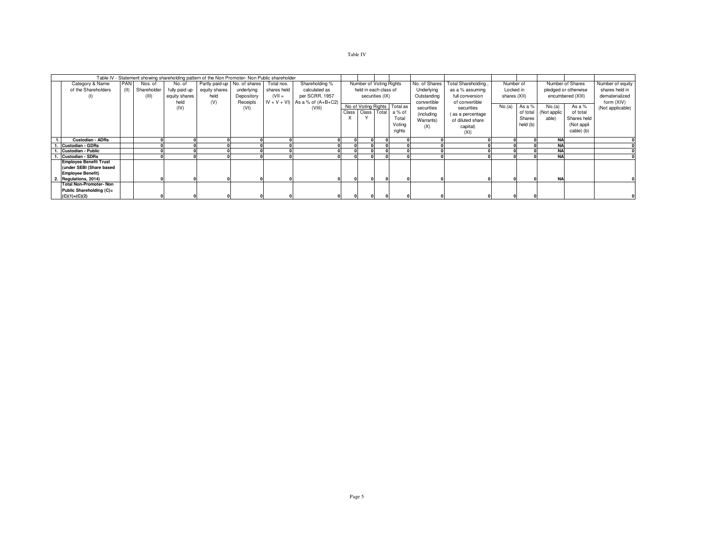## Table IV

|                                |      |             |               | Table IV - Statement showing shareholding pattern of the Non Promoter- Non Public shareholder |            |             |                                      |       |                         |                 |                              |               |                     |              |          |             |                      |                  |
|--------------------------------|------|-------------|---------------|-----------------------------------------------------------------------------------------------|------------|-------------|--------------------------------------|-------|-------------------------|-----------------|------------------------------|---------------|---------------------|--------------|----------|-------------|----------------------|------------------|
| Category & Name                | PAN  | Nos. of     | No. of        | Partly paid-up No. of shares                                                                  |            | Total nos.  | Shareholding %                       |       | Number of Voting Rights |                 |                              | No. of Shares | Total Shareholding, | Number of    |          |             | Number of Shares     | Number of equity |
| of the Shareholders            | (II) | Shareholder | fully paid up | equity shares                                                                                 | underlying | shares held | calculated as                        |       | held in each class of   |                 |                              | Underlying    | as a % assuming     | Locked in    |          |             | pledged or otherwise | shares held in   |
| (1)                            |      | (III)       | equity shares | held                                                                                          | Depository | $(VII =$    | per SCRR, 1957                       |       |                         | securities (IX) |                              | Outstanding   | full conversion     | shares (XII) |          |             | encumbered (XIII)    | dematerialized   |
|                                |      |             | held          | (V)                                                                                           | Receipts   |             | $IV + V + VI$ ) As a % of $(A+B+C2)$ |       |                         |                 |                              | convertible   | of convertible      |              |          |             |                      | form (XIV)       |
|                                |      |             | (IV)          |                                                                                               | (VI)       |             | (VIII)                               |       |                         |                 | No of Voting Rights Total as | securities    | securities          | No.(a)       | As a %   | No.(a)      | As a %               | (Not applicable) |
|                                |      |             |               |                                                                                               |            |             |                                      | Class |                         |                 | Class Total a % of           | (including    | (as a percentage    |              | of total | (Not applic | of total             |                  |
|                                |      |             |               |                                                                                               |            |             |                                      |       |                         |                 | Total                        | Warrants)     | of diluted share    |              | Shares   | able)       | Shares held          |                  |
|                                |      |             |               |                                                                                               |            |             |                                      |       |                         |                 | Voting                       | (X)           | capital)            |              | held (b) |             | (Not appli           |                  |
|                                |      |             |               |                                                                                               |            |             |                                      |       |                         |                 | rights                       |               | (XI)                |              |          |             | cable) (b)           |                  |
| <b>Custodian - ADRs</b>        |      |             |               |                                                                                               |            |             |                                      |       |                         |                 |                              |               |                     |              |          | <b>NA</b>   |                      |                  |
| <b>Custodian - GDRs</b>        |      |             |               |                                                                                               |            |             |                                      |       |                         |                 |                              |               |                     |              |          | <b>NA</b>   |                      |                  |
| Custodian - Public             |      |             |               |                                                                                               |            |             |                                      |       |                         |                 |                              |               |                     |              |          | <b>NA</b>   |                      |                  |
| <b>Custodian - SDRs</b>        |      |             |               |                                                                                               |            |             |                                      |       |                         |                 |                              |               |                     |              |          | <b>NA</b>   |                      |                  |
| <b>Employee Benefit Trust</b>  |      |             |               |                                                                                               |            |             |                                      |       |                         |                 |                              |               |                     |              |          |             |                      |                  |
| (under SEBI (Share based       |      |             |               |                                                                                               |            |             |                                      |       |                         |                 |                              |               |                     |              |          |             |                      |                  |
| <b>Employee Benefit)</b>       |      |             |               |                                                                                               |            |             |                                      |       |                         |                 |                              |               |                     |              |          |             |                      |                  |
| 2. Regulations, 2014)          |      |             |               |                                                                                               |            |             |                                      |       |                         |                 |                              |               |                     |              |          | <b>NA</b>   |                      |                  |
| <b>Total Non-Promoter- Non</b> |      |             |               |                                                                                               |            |             |                                      |       |                         |                 |                              |               |                     |              |          |             |                      |                  |
| Public Shareholding (C)=       |      |             |               |                                                                                               |            |             |                                      |       |                         |                 |                              |               |                     |              |          |             |                      |                  |
| $(C)(1)+(C)(2)$                |      |             |               |                                                                                               |            |             |                                      |       |                         |                 |                              |               |                     |              |          |             |                      |                  |